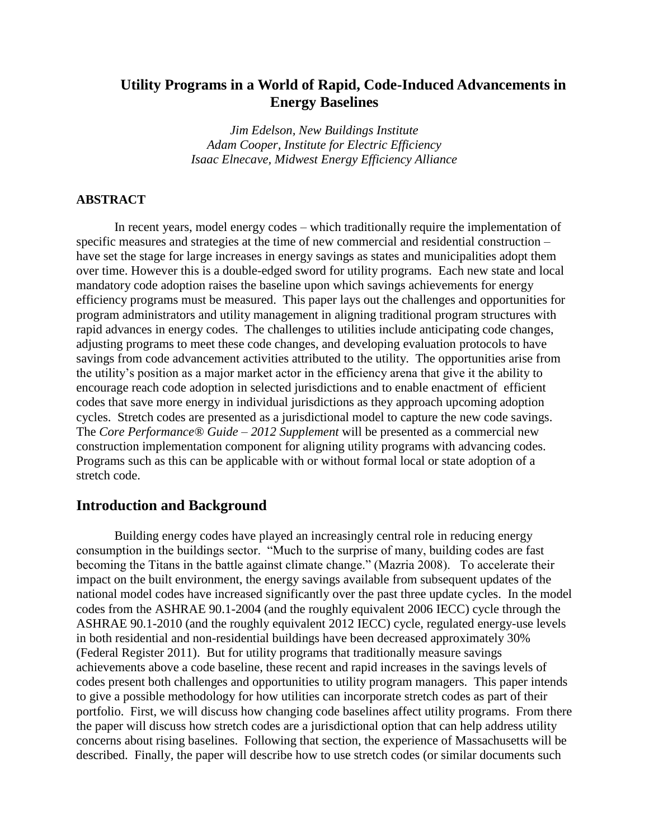## **Utility Programs in a World of Rapid, Code-Induced Advancements in Energy Baselines**

*Jim Edelson, New Buildings Institute Adam Cooper, Institute for Electric Efficiency Isaac Elnecave, Midwest Energy Efficiency Alliance*

#### **ABSTRACT**

In recent years, model energy codes – which traditionally require the implementation of specific measures and strategies at the time of new commercial and residential construction – have set the stage for large increases in energy savings as states and municipalities adopt them over time. However this is a double-edged sword for utility programs. Each new state and local mandatory code adoption raises the baseline upon which savings achievements for energy efficiency programs must be measured. This paper lays out the challenges and opportunities for program administrators and utility management in aligning traditional program structures with rapid advances in energy codes. The challenges to utilities include anticipating code changes, adjusting programs to meet these code changes, and developing evaluation protocols to have savings from code advancement activities attributed to the utility. The opportunities arise from the utility's position as a major market actor in the efficiency arena that give it the ability to encourage reach code adoption in selected jurisdictions and to enable enactment of efficient codes that save more energy in individual jurisdictions as they approach upcoming adoption cycles. Stretch codes are presented as a jurisdictional model to capture the new code savings. The *Core Performance® Guide – 2012 Supplement* will be presented as a commercial new construction implementation component for aligning utility programs with advancing codes. Programs such as this can be applicable with or without formal local or state adoption of a stretch code.

### **Introduction and Background**

Building energy codes have played an increasingly central role in reducing energy consumption in the buildings sector. "Much to the surprise of many, building codes are fast becoming the Titans in the battle against climate change." (Mazria 2008). To accelerate their impact on the built environment, the energy savings available from subsequent updates of the national model codes have increased significantly over the past three update cycles. In the model codes from the ASHRAE 90.1-2004 (and the roughly equivalent 2006 IECC) cycle through the ASHRAE 90.1-2010 (and the roughly equivalent 2012 IECC) cycle, regulated energy-use levels in both residential and non-residential buildings have been decreased approximately 30% (Federal Register 2011). But for utility programs that traditionally measure savings achievements above a code baseline, these recent and rapid increases in the savings levels of codes present both challenges and opportunities to utility program managers. This paper intends to give a possible methodology for how utilities can incorporate stretch codes as part of their portfolio. First, we will discuss how changing code baselines affect utility programs. From there the paper will discuss how stretch codes are a jurisdictional option that can help address utility concerns about rising baselines. Following that section, the experience of Massachusetts will be described. Finally, the paper will describe how to use stretch codes (or similar documents such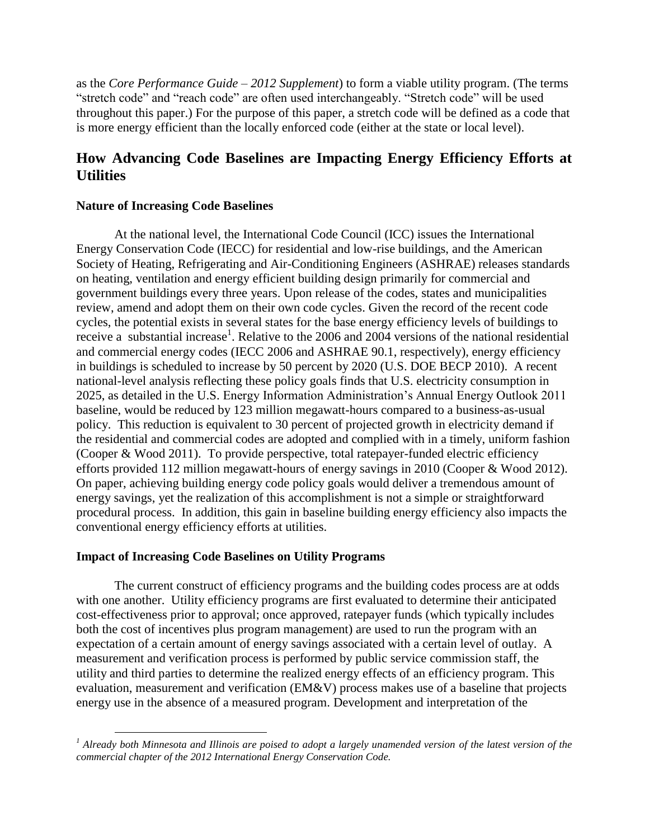as the *Core Performance Guide – 2012 Supplement*) to form a viable utility program. (The terms "stretch code" and "reach code" are often used interchangeably. "Stretch code" will be used throughout this paper.) For the purpose of this paper, a stretch code will be defined as a code that is more energy efficient than the locally enforced code (either at the state or local level).

# **How Advancing Code Baselines are Impacting Energy Efficiency Efforts at Utilities**

#### **Nature of Increasing Code Baselines**

At the national level, the International Code Council (ICC) issues the International Energy Conservation Code (IECC) for residential and low-rise buildings, and the American Society of Heating, Refrigerating and Air-Conditioning Engineers (ASHRAE) releases standards on heating, ventilation and energy efficient building design primarily for commercial and government buildings every three years. Upon release of the codes, states and municipalities review, amend and adopt them on their own code cycles. Given the record of the recent code cycles, the potential exists in several states for the base energy efficiency levels of buildings to receive a substantial increase<sup>1</sup>. Relative to the 2006 and 2004 versions of the national residential and commercial energy codes (IECC 2006 and ASHRAE 90.1, respectively), energy efficiency in buildings is scheduled to increase by 50 percent by 2020 (U.S. DOE BECP 2010). A recent national-level analysis reflecting these policy goals finds that U.S. electricity consumption in 2025, as detailed in the U.S. Energy Information Administration's Annual Energy Outlook 2011 baseline, would be reduced by 123 million megawatt-hours compared to a business-as-usual policy. This reduction is equivalent to 30 percent of projected growth in electricity demand if the residential and commercial codes are adopted and complied with in a timely, uniform fashion (Cooper & Wood 2011). To provide perspective, total ratepayer-funded electric efficiency efforts provided 112 million megawatt-hours of energy savings in 2010 (Cooper & Wood 2012). On paper, achieving building energy code policy goals would deliver a tremendous amount of energy savings, yet the realization of this accomplishment is not a simple or straightforward procedural process. In addition, this gain in baseline building energy efficiency also impacts the conventional energy efficiency efforts at utilities.

### **Impact of Increasing Code Baselines on Utility Programs**

 $\overline{a}$ 

The current construct of efficiency programs and the building codes process are at odds with one another. Utility efficiency programs are first evaluated to determine their anticipated cost-effectiveness prior to approval; once approved, ratepayer funds (which typically includes both the cost of incentives plus program management) are used to run the program with an expectation of a certain amount of energy savings associated with a certain level of outlay. A measurement and verification process is performed by public service commission staff, the utility and third parties to determine the realized energy effects of an efficiency program. This evaluation, measurement and verification (EM&V) process makes use of a baseline that projects energy use in the absence of a measured program. Development and interpretation of the

*<sup>1</sup> Already both Minnesota and Illinois are poised to adopt a largely unamended version of the latest version of the commercial chapter of the 2012 International Energy Conservation Code.*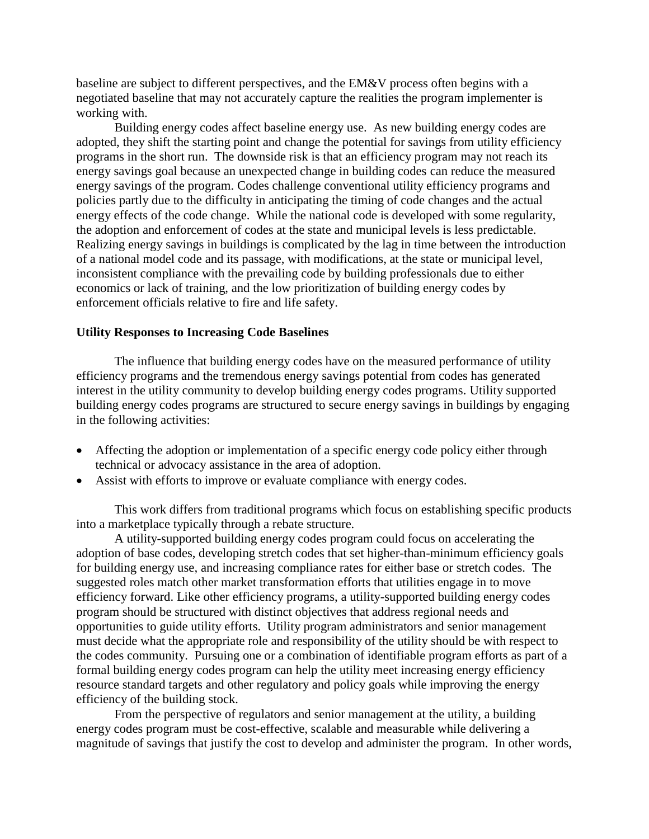baseline are subject to different perspectives, and the EM&V process often begins with a negotiated baseline that may not accurately capture the realities the program implementer is working with.

Building energy codes affect baseline energy use. As new building energy codes are adopted, they shift the starting point and change the potential for savings from utility efficiency programs in the short run. The downside risk is that an efficiency program may not reach its energy savings goal because an unexpected change in building codes can reduce the measured energy savings of the program. Codes challenge conventional utility efficiency programs and policies partly due to the difficulty in anticipating the timing of code changes and the actual energy effects of the code change. While the national code is developed with some regularity, the adoption and enforcement of codes at the state and municipal levels is less predictable. Realizing energy savings in buildings is complicated by the lag in time between the introduction of a national model code and its passage, with modifications, at the state or municipal level, inconsistent compliance with the prevailing code by building professionals due to either economics or lack of training, and the low prioritization of building energy codes by enforcement officials relative to fire and life safety.

#### **Utility Responses to Increasing Code Baselines**

The influence that building energy codes have on the measured performance of utility efficiency programs and the tremendous energy savings potential from codes has generated interest in the utility community to develop building energy codes programs. Utility supported building energy codes programs are structured to secure energy savings in buildings by engaging in the following activities:

- Affecting the adoption or implementation of a specific energy code policy either through technical or advocacy assistance in the area of adoption.
- Assist with efforts to improve or evaluate compliance with energy codes.

This work differs from traditional programs which focus on establishing specific products into a marketplace typically through a rebate structure.

A utility-supported building energy codes program could focus on accelerating the adoption of base codes, developing stretch codes that set higher-than-minimum efficiency goals for building energy use, and increasing compliance rates for either base or stretch codes. The suggested roles match other market transformation efforts that utilities engage in to move efficiency forward. Like other efficiency programs, a utility-supported building energy codes program should be structured with distinct objectives that address regional needs and opportunities to guide utility efforts. Utility program administrators and senior management must decide what the appropriate role and responsibility of the utility should be with respect to the codes community. Pursuing one or a combination of identifiable program efforts as part of a formal building energy codes program can help the utility meet increasing energy efficiency resource standard targets and other regulatory and policy goals while improving the energy efficiency of the building stock.

From the perspective of regulators and senior management at the utility, a building energy codes program must be cost-effective, scalable and measurable while delivering a magnitude of savings that justify the cost to develop and administer the program. In other words,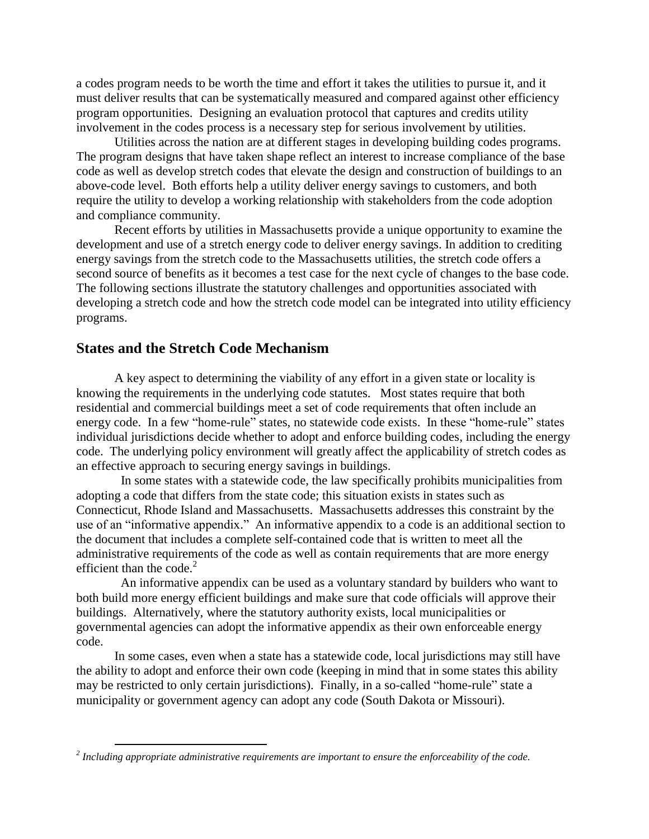a codes program needs to be worth the time and effort it takes the utilities to pursue it, and it must deliver results that can be systematically measured and compared against other efficiency program opportunities. Designing an evaluation protocol that captures and credits utility involvement in the codes process is a necessary step for serious involvement by utilities.

Utilities across the nation are at different stages in developing building codes programs. The program designs that have taken shape reflect an interest to increase compliance of the base code as well as develop stretch codes that elevate the design and construction of buildings to an above-code level. Both efforts help a utility deliver energy savings to customers, and both require the utility to develop a working relationship with stakeholders from the code adoption and compliance community.

Recent efforts by utilities in Massachusetts provide a unique opportunity to examine the development and use of a stretch energy code to deliver energy savings. In addition to crediting energy savings from the stretch code to the Massachusetts utilities, the stretch code offers a second source of benefits as it becomes a test case for the next cycle of changes to the base code. The following sections illustrate the statutory challenges and opportunities associated with developing a stretch code and how the stretch code model can be integrated into utility efficiency programs.

## **States and the Stretch Code Mechanism**

 $\overline{a}$ 

A key aspect to determining the viability of any effort in a given state or locality is knowing the requirements in the underlying code statutes. Most states require that both residential and commercial buildings meet a set of code requirements that often include an energy code. In a few "home-rule" states, no statewide code exists. In these "home-rule" states individual jurisdictions decide whether to adopt and enforce building codes, including the energy code. The underlying policy environment will greatly affect the applicability of stretch codes as an effective approach to securing energy savings in buildings.

 In some states with a statewide code, the law specifically prohibits municipalities from adopting a code that differs from the state code; this situation exists in states such as Connecticut, Rhode Island and Massachusetts. Massachusetts addresses this constraint by the use of an "informative appendix." An informative appendix to a code is an additional section to the document that includes a complete self-contained code that is written to meet all the administrative requirements of the code as well as contain requirements that are more energy efficient than the code. $2$ 

 An informative appendix can be used as a voluntary standard by builders who want to both build more energy efficient buildings and make sure that code officials will approve their buildings. Alternatively, where the statutory authority exists, local municipalities or governmental agencies can adopt the informative appendix as their own enforceable energy code.

In some cases, even when a state has a statewide code, local jurisdictions may still have the ability to adopt and enforce their own code (keeping in mind that in some states this ability may be restricted to only certain jurisdictions). Finally, in a so-called "home-rule" state a municipality or government agency can adopt any code (South Dakota or Missouri).

*<sup>2</sup> Including appropriate administrative requirements are important to ensure the enforceability of the code.*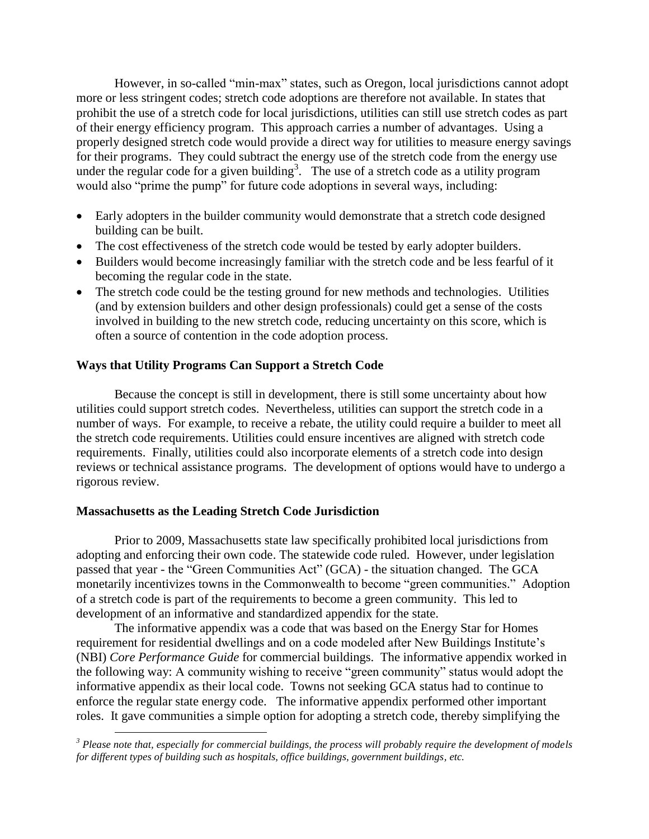However, in so-called "min-max" states, such as Oregon, local jurisdictions cannot adopt more or less stringent codes; stretch code adoptions are therefore not available. In states that prohibit the use of a stretch code for local jurisdictions, utilities can still use stretch codes as part of their energy efficiency program. This approach carries a number of advantages. Using a properly designed stretch code would provide a direct way for utilities to measure energy savings for their programs. They could subtract the energy use of the stretch code from the energy use under the regular code for a given building<sup>3</sup>. The use of a stretch code as a utility program would also "prime the pump" for future code adoptions in several ways, including:

- Early adopters in the builder community would demonstrate that a stretch code designed building can be built.
- The cost effectiveness of the stretch code would be tested by early adopter builders.
- Builders would become increasingly familiar with the stretch code and be less fearful of it becoming the regular code in the state.
- The stretch code could be the testing ground for new methods and technologies. Utilities (and by extension builders and other design professionals) could get a sense of the costs involved in building to the new stretch code, reducing uncertainty on this score, which is often a source of contention in the code adoption process.

### **Ways that Utility Programs Can Support a Stretch Code**

Because the concept is still in development, there is still some uncertainty about how utilities could support stretch codes. Nevertheless, utilities can support the stretch code in a number of ways. For example, to receive a rebate, the utility could require a builder to meet all the stretch code requirements. Utilities could ensure incentives are aligned with stretch code requirements. Finally, utilities could also incorporate elements of a stretch code into design reviews or technical assistance programs. The development of options would have to undergo a rigorous review.

### **Massachusetts as the Leading Stretch Code Jurisdiction**

 $\overline{a}$ 

Prior to 2009, Massachusetts state law specifically prohibited local jurisdictions from adopting and enforcing their own code. The statewide code ruled. However, under legislation passed that year - the "Green Communities Act" (GCA) - the situation changed. The GCA monetarily incentivizes towns in the Commonwealth to become "green communities." Adoption of a stretch code is part of the requirements to become a green community. This led to development of an informative and standardized appendix for the state.

The informative appendix was a code that was based on the Energy Star for Homes requirement for residential dwellings and on a code modeled after New Buildings Institute's (NBI) *Core Performance Guide* for commercial buildings. The informative appendix worked in the following way: A community wishing to receive "green community" status would adopt the informative appendix as their local code. Towns not seeking GCA status had to continue to enforce the regular state energy code. The informative appendix performed other important roles. It gave communities a simple option for adopting a stretch code, thereby simplifying the

*<sup>3</sup> Please note that, especially for commercial buildings, the process will probably require the development of models for different types of building such as hospitals, office buildings, government buildings, etc.*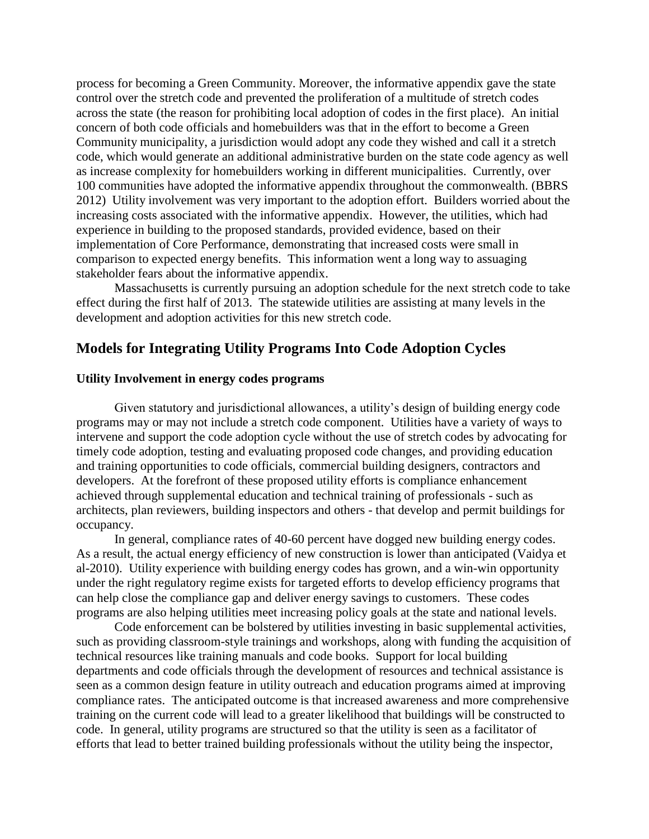process for becoming a Green Community. Moreover, the informative appendix gave the state control over the stretch code and prevented the proliferation of a multitude of stretch codes across the state (the reason for prohibiting local adoption of codes in the first place). An initial concern of both code officials and homebuilders was that in the effort to become a Green Community municipality, a jurisdiction would adopt any code they wished and call it a stretch code, which would generate an additional administrative burden on the state code agency as well as increase complexity for homebuilders working in different municipalities. Currently, over 100 communities have adopted the informative appendix throughout the commonwealth. (BBRS 2012) Utility involvement was very important to the adoption effort. Builders worried about the increasing costs associated with the informative appendix. However, the utilities, which had experience in building to the proposed standards, provided evidence, based on their implementation of Core Performance, demonstrating that increased costs were small in comparison to expected energy benefits. This information went a long way to assuaging stakeholder fears about the informative appendix.

Massachusetts is currently pursuing an adoption schedule for the next stretch code to take effect during the first half of 2013. The statewide utilities are assisting at many levels in the development and adoption activities for this new stretch code.

## **Models for Integrating Utility Programs Into Code Adoption Cycles**

### **Utility Involvement in energy codes programs**

Given statutory and jurisdictional allowances, a utility's design of building energy code programs may or may not include a stretch code component. Utilities have a variety of ways to intervene and support the code adoption cycle without the use of stretch codes by advocating for timely code adoption, testing and evaluating proposed code changes, and providing education and training opportunities to code officials, commercial building designers, contractors and developers. At the forefront of these proposed utility efforts is compliance enhancement achieved through supplemental education and technical training of professionals - such as architects, plan reviewers, building inspectors and others - that develop and permit buildings for occupancy.

In general, compliance rates of 40-60 percent have dogged new building energy codes. As a result, the actual energy efficiency of new construction is lower than anticipated (Vaidya et al-2010). Utility experience with building energy codes has grown, and a win-win opportunity under the right regulatory regime exists for targeted efforts to develop efficiency programs that can help close the compliance gap and deliver energy savings to customers. These codes programs are also helping utilities meet increasing policy goals at the state and national levels.

Code enforcement can be bolstered by utilities investing in basic supplemental activities, such as providing classroom-style trainings and workshops, along with funding the acquisition of technical resources like training manuals and code books. Support for local building departments and code officials through the development of resources and technical assistance is seen as a common design feature in utility outreach and education programs aimed at improving compliance rates. The anticipated outcome is that increased awareness and more comprehensive training on the current code will lead to a greater likelihood that buildings will be constructed to code. In general, utility programs are structured so that the utility is seen as a facilitator of efforts that lead to better trained building professionals without the utility being the inspector,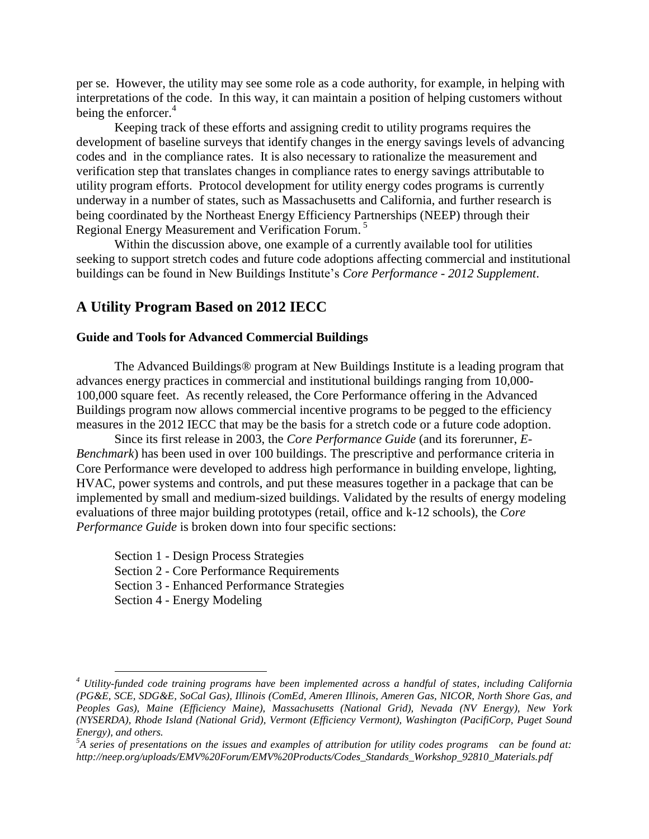per se. However, the utility may see some role as a code authority, for example, in helping with interpretations of the code. In this way, it can maintain a position of helping customers without being the enforcer.<sup>4</sup>

Keeping track of these efforts and assigning credit to utility programs requires the development of baseline surveys that identify changes in the energy savings levels of advancing codes and in the compliance rates. It is also necessary to rationalize the measurement and verification step that translates changes in compliance rates to energy savings attributable to utility program efforts. Protocol development for utility energy codes programs is currently underway in a number of states, such as Massachusetts and California, and further research is being coordinated by the Northeast Energy Efficiency Partnerships (NEEP) through their Regional Energy Measurement and Verification Forum. 5

Within the discussion above, one example of a currently available tool for utilities seeking to support stretch codes and future code adoptions affecting commercial and institutional buildings can be found in New Buildings Institute's *Core Performance - 2012 Supplement*.

## **A Utility Program Based on 2012 IECC**

#### **Guide and Tools for Advanced Commercial Buildings**

The Advanced Buildings® program at New Buildings Institute is a leading program that advances energy practices in commercial and institutional buildings ranging from 10,000- 100,000 square feet. As recently released, the Core Performance offering in the Advanced Buildings program now allows commercial incentive programs to be pegged to the efficiency measures in the 2012 IECC that may be the basis for a stretch code or a future code adoption.

Since its first release in 2003, the *Core Performance Guide* (and its forerunner, *E-Benchmark*) has been used in over 100 buildings. The prescriptive and performance criteria in Core Performance were developed to address high performance in building envelope, lighting, HVAC, power systems and controls, and put these measures together in a package that can be implemented by small and medium-sized buildings. Validated by the results of energy modeling evaluations of three major building prototypes (retail, office and k-12 schools), the *Core Performance Guide* is broken down into four specific sections:

Section 1 - Design Process Strategies Section 2 - Core Performance Requirements Section 3 - Enhanced Performance Strategies Section 4 - Energy Modeling

 $\overline{a}$ 

*<sup>4</sup> Utility-funded code training programs have been implemented across a handful of states, including California (PG&E, SCE, SDG&E, SoCal Gas), Illinois (ComEd, Ameren Illinois, Ameren Gas, NICOR, North Shore Gas, and Peoples Gas), Maine (Efficiency Maine), Massachusetts (National Grid), Nevada (NV Energy), New York (NYSERDA), Rhode Island (National Grid), Vermont (Efficiency Vermont), Washington (PacifiCorp, Puget Sound Energy), and others.*

*<sup>5</sup>A series of presentations on the issues and examples of attribution for utility codes programs can be found at: http://neep.org/uploads/EMV%20Forum/EMV%20Products/Codes\_Standards\_Workshop\_92810\_Materials.pdf*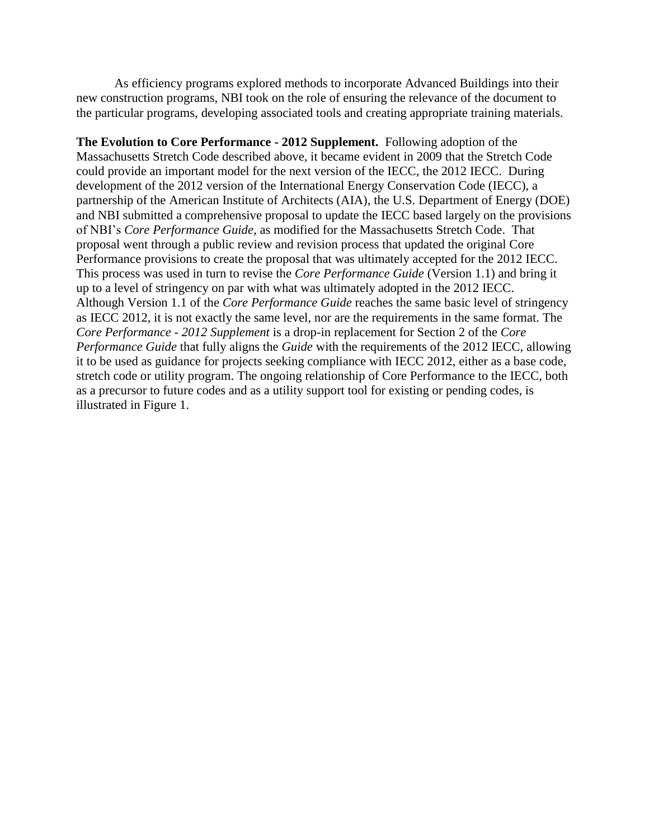As efficiency programs explored methods to incorporate Advanced Buildings into their new construction programs, NBI took on the role of ensuring the relevance of the document to the particular programs, developing associated tools and creating appropriate training materials.

**The Evolution to Core Performance - 2012 Supplement.** Following adoption of the Massachusetts Stretch Code described above, it became evident in 2009 that the Stretch Code could provide an important model for the next version of the IECC, the 2012 IECC. During development of the 2012 version of the International Energy Conservation Code (IECC), a partnership of the American Institute of Architects (AIA), the U.S. Department of Energy (DOE) and NBI submitted a comprehensive proposal to update the IECC based largely on the provisions of NBI's *Core Performance Guide*, as modified for the Massachusetts Stretch Code. That proposal went through a public review and revision process that updated the original Core Performance provisions to create the proposal that was ultimately accepted for the 2012 IECC. This process was used in turn to revise the *Core Performance Guide* (Version 1.1) and bring it up to a level of stringency on par with what was ultimately adopted in the 2012 IECC. Although Version 1.1 of the *Core Performance Guide* reaches the same basic level of stringency as IECC 2012, it is not exactly the same level, nor are the requirements in the same format. The *Core Performance - 2012 Supplement* is a drop-in replacement for Section 2 of the *Core Performance Guide* that fully aligns the *Guide* with the requirements of the 2012 IECC, allowing it to be used as guidance for projects seeking compliance with IECC 2012, either as a base code, stretch code or utility program. The ongoing relationship of Core Performance to the IECC, both as a precursor to future codes and as a utility support tool for existing or pending codes, is illustrated in Figure 1.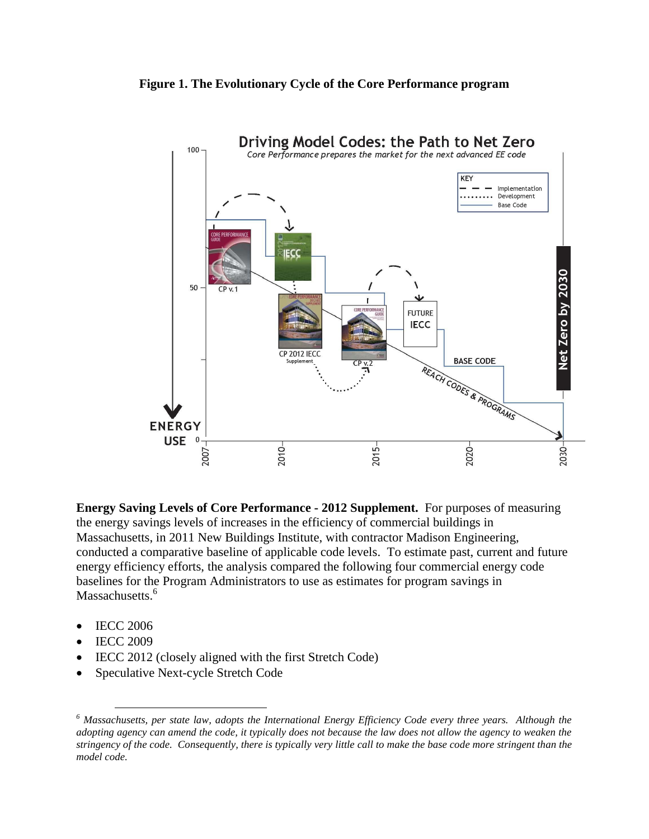#### **Figure 1. The Evolutionary Cycle of the Core Performance program**



**Energy Saving Levels of Core Performance - 2012 Supplement.** For purposes of measuring the energy savings levels of increases in the efficiency of commercial buildings in Massachusetts, in 2011 New Buildings Institute, with contractor Madison Engineering, conducted a comparative baseline of applicable code levels. To estimate past, current and future energy efficiency efforts, the analysis compared the following four commercial energy code baselines for the Program Administrators to use as estimates for program savings in Massachusetts.<sup>6</sup>

- IECC 2006
- IECC 2009

 $\overline{a}$ 

- IECC 2012 (closely aligned with the first Stretch Code)
- Speculative Next-cycle Stretch Code

*<sup>6</sup> Massachusetts, per state law, adopts the International Energy Efficiency Code every three years. Although the adopting agency can amend the code, it typically does not because the law does not allow the agency to weaken the stringency of the code. Consequently, there is typically very little call to make the base code more stringent than the model code.*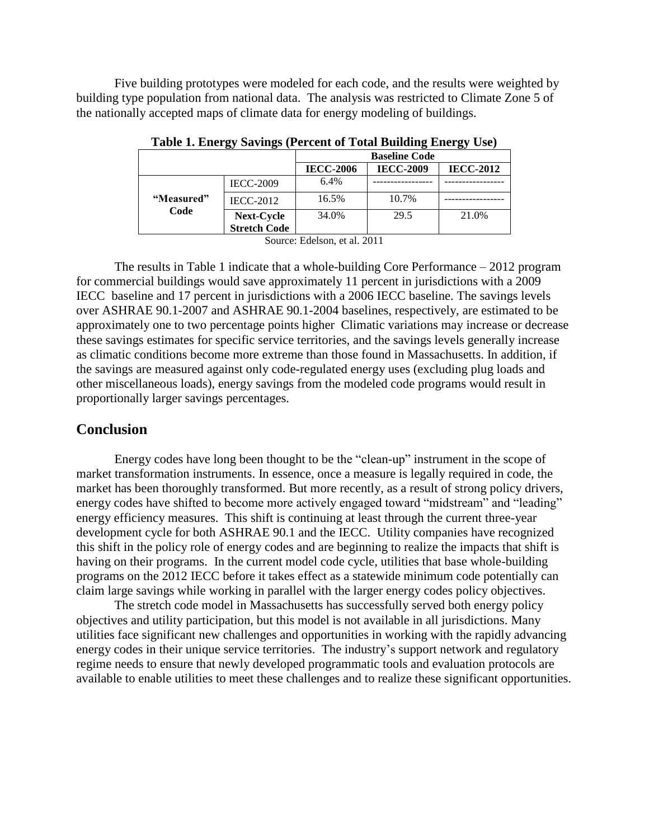Five building prototypes were modeled for each code, and the results were weighted by building type population from national data. The analysis was restricted to Climate Zone 5 of the nationally accepted maps of climate data for energy modeling of buildings.

|                    |                     | <b>Baseline Code</b> |                  |                  |
|--------------------|---------------------|----------------------|------------------|------------------|
|                    |                     | <b>IECC-2006</b>     | <b>IECC-2009</b> | <b>IECC-2012</b> |
| "Measured"<br>Code | <b>IECC-2009</b>    | $6.4\%$              |                  |                  |
|                    | <b>IECC-2012</b>    | 16.5%                | 10.7%            |                  |
|                    | Next-Cycle          | 34.0%                | 29.5             | 21.0%            |
|                    | <b>Stretch Code</b> |                      |                  |                  |

**Table 1. Energy Savings (Percent of Total Building Energy Use)**

Source: Edelson, et al. 2011

The results in Table 1 indicate that a whole-building Core Performance – 2012 program for commercial buildings would save approximately 11 percent in jurisdictions with a 2009 IECC baseline and 17 percent in jurisdictions with a 2006 IECC baseline. The savings levels over ASHRAE 90.1-2007 and ASHRAE 90.1-2004 baselines, respectively, are estimated to be approximately one to two percentage points higher Climatic variations may increase or decrease these savings estimates for specific service territories, and the savings levels generally increase as climatic conditions become more extreme than those found in Massachusetts. In addition, if the savings are measured against only code-regulated energy uses (excluding plug loads and other miscellaneous loads), energy savings from the modeled code programs would result in proportionally larger savings percentages.

### **Conclusion**

Energy codes have long been thought to be the "clean-up" instrument in the scope of market transformation instruments. In essence, once a measure is legally required in code, the market has been thoroughly transformed. But more recently, as a result of strong policy drivers, energy codes have shifted to become more actively engaged toward "midstream" and "leading" energy efficiency measures. This shift is continuing at least through the current three-year development cycle for both ASHRAE 90.1 and the IECC. Utility companies have recognized this shift in the policy role of energy codes and are beginning to realize the impacts that shift is having on their programs. In the current model code cycle, utilities that base whole-building programs on the 2012 IECC before it takes effect as a statewide minimum code potentially can claim large savings while working in parallel with the larger energy codes policy objectives.

The stretch code model in Massachusetts has successfully served both energy policy objectives and utility participation, but this model is not available in all jurisdictions. Many utilities face significant new challenges and opportunities in working with the rapidly advancing energy codes in their unique service territories. The industry's support network and regulatory regime needs to ensure that newly developed programmatic tools and evaluation protocols are available to enable utilities to meet these challenges and to realize these significant opportunities.